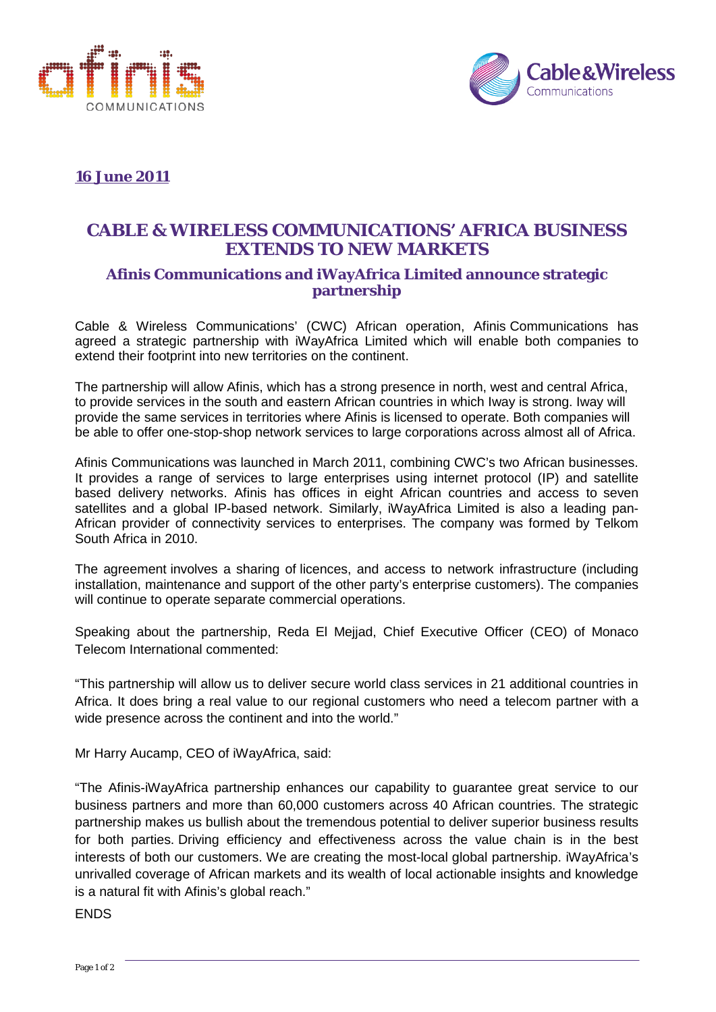



# **16 June 2011**

# **CABLE & WIRELESS COMMUNICATIONS' AFRICA BUSINESS EXTENDS TO NEW MARKETS**

# **Afinis Communications and iWayAfrica Limited announce strategic partnership**

Cable & Wireless Communications' (CWC) African operation, Afinis Communications has agreed a strategic partnership with iWayAfrica Limited which will enable both companies to extend their footprint into new territories on the continent.

The partnership will allow Afinis, which has a strong presence in north, west and central Africa, to provide services in the south and eastern African countries in which Iway is strong. Iway will provide the same services in territories where Afinis is licensed to operate. Both companies will be able to offer one-stop-shop network services to large corporations across almost all of Africa.

Afinis Communications was launched in March 2011, combining CWC's two African businesses. It provides a range of services to large enterprises using internet protocol (IP) and satellite based delivery networks. Afinis has offices in eight African countries and access to seven satellites and a global IP-based network. Similarly, iWayAfrica Limited is also a leading pan-African provider of connectivity services to enterprises. The company was formed by Telkom South Africa in 2010.

The agreement involves a sharing of licences, and access to network infrastructure (including installation, maintenance and support of the other party's enterprise customers). The companies will continue to operate separate commercial operations.

Speaking about the partnership, Reda El Mejjad, Chief Executive Officer (CEO) of Monaco Telecom International commented:

"This partnership will allow us to deliver secure world class services in 21 additional countries in Africa. It does bring a real value to our regional customers who need a telecom partner with a wide presence across the continent and into the world."

Mr Harry Aucamp, CEO of iWayAfrica, said:

"The Afinis-iWayAfrica partnership enhances our capability to guarantee great service to our business partners and more than 60,000 customers across 40 African countries. The strategic partnership makes us bullish about the tremendous potential to deliver superior business results for both parties. Driving efficiency and effectiveness across the value chain is in the best interests of both our customers. We are creating the most-local global partnership. iWayAfrica's unrivalled coverage of African markets and its wealth of local actionable insights and knowledge is a natural fit with Afinis's global reach."

ENDS